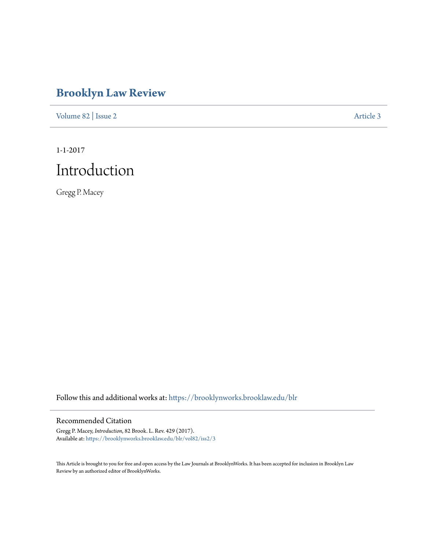# **[Brooklyn Law Review](https://brooklynworks.brooklaw.edu/blr?utm_source=brooklynworks.brooklaw.edu%2Fblr%2Fvol82%2Fiss2%2F3&utm_medium=PDF&utm_campaign=PDFCoverPages)**

[Volume 82](https://brooklynworks.brooklaw.edu/blr/vol82?utm_source=brooklynworks.brooklaw.edu%2Fblr%2Fvol82%2Fiss2%2F3&utm_medium=PDF&utm_campaign=PDFCoverPages) | [Issue 2](https://brooklynworks.brooklaw.edu/blr/vol82/iss2?utm_source=brooklynworks.brooklaw.edu%2Fblr%2Fvol82%2Fiss2%2F3&utm_medium=PDF&utm_campaign=PDFCoverPages) [Article 3](https://brooklynworks.brooklaw.edu/blr/vol82/iss2/3?utm_source=brooklynworks.brooklaw.edu%2Fblr%2Fvol82%2Fiss2%2F3&utm_medium=PDF&utm_campaign=PDFCoverPages)

1-1-2017 Introduction

Gregg P. Macey

Follow this and additional works at: [https://brooklynworks.brooklaw.edu/blr](https://brooklynworks.brooklaw.edu/blr?utm_source=brooklynworks.brooklaw.edu%2Fblr%2Fvol82%2Fiss2%2F3&utm_medium=PDF&utm_campaign=PDFCoverPages)

# Recommended Citation

Gregg P. Macey, *Introduction*, 82 Brook. L. Rev. 429 (2017). Available at: [https://brooklynworks.brooklaw.edu/blr/vol82/iss2/3](https://brooklynworks.brooklaw.edu/blr/vol82/iss2/3?utm_source=brooklynworks.brooklaw.edu%2Fblr%2Fvol82%2Fiss2%2F3&utm_medium=PDF&utm_campaign=PDFCoverPages)

This Article is brought to you for free and open access by the Law Journals at BrooklynWorks. It has been accepted for inclusion in Brooklyn Law Review by an authorized editor of BrooklynWorks.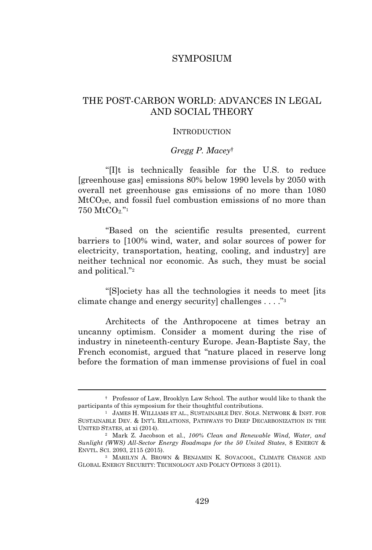## SYMPOSIUM

# THE POST-CARBON WORLD: ADVANCES IN LEGAL AND SOCIAL THEORY

#### **INTRODUCTION**

## *Gregg P. Macey*†

"[I]t is technically feasible for the U.S. to reduce [greenhouse gas] emissions 80% below 1990 levels by 2050 with overall net greenhouse gas emissions of no more than 1080 MtCO2e, and fossil fuel combustion emissions of no more than 750 MtCO2." 1

"Based on the scientific results presented, current barriers to [100% wind, water, and solar sources of power for electricity, transportation, heating, cooling, and industry] are neither technical nor economic. As such, they must be social and political." 2

"[S]ociety has all the technologies it needs to meet [its climate change and energy security] challenges . . . . "<sup>3</sup>

Architects of the Anthropocene at times betray an uncanny optimism. Consider a moment during the rise of industry in nineteenth-century Europe. Jean-Baptiste Say, the French economist, argued that "nature placed in reserve long before the formation of man immense provisions of fuel in coal

<sup>†</sup> Professor of Law, Brooklyn Law School. The author would like to thank the participants of this symposium for their thoughtful contributions.

<sup>1</sup> JAMES H. WILLIAMS ET AL., SUSTAINABLE DEV. SOLS. NETWORK & INST. FOR SUSTAINABLE DEV. & INT'<sup>L</sup> RELATIONS, PATHWAYS TO DEEP DECARBONIZATION IN THE UNITED STATES, at xi (2014).

<sup>2</sup> Mark Z. Jacobson et al., *100% Clean and Renewable Wind, Water, and Sunlight (WWS) All-Sector Energy Roadmaps for the 50 United States*, 8 ENERGY & ENVTL. SCI. 2093, 2115 (2015).

<sup>3</sup> MARILYN A. BROWN & BENJAMIN K. SOVACOOL, CLIMATE CHANGE AND GLOBAL ENERGY SECURITY: TECHNOLOGY AND POLICY OPTIONS 3 (2011).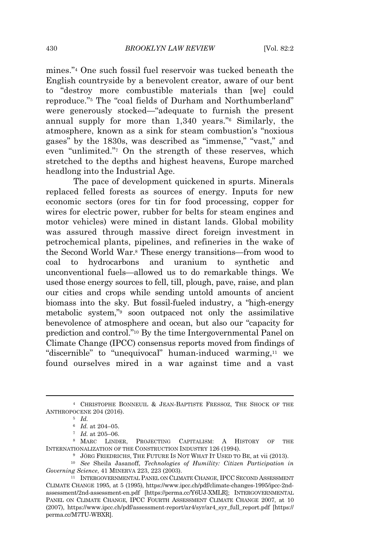mines." <sup>4</sup> One such fossil fuel reservoir was tucked beneath the English countryside by a benevolent creator, aware of our bent to "destroy more combustible materials than [we] could reproduce." <sup>5</sup> The "coal fields of Durham and Northumberland" were generously stocked—"adequate to furnish the present annual supply for more than 1,340 years." <sup>6</sup> Similarly, the atmosphere, known as a sink for steam combustion's "noxious gases" by the 1830s, was described as "immense," "vast," and even "unlimited." <sup>7</sup> On the strength of these reserves, which stretched to the depths and highest heavens, Europe marched headlong into the Industrial Age.

The pace of development quickened in spurts. Minerals replaced felled forests as sources of energy. Inputs for new economic sectors (ores for tin for food processing, copper for wires for electric power, rubber for belts for steam engines and motor vehicles) were mined in distant lands. Global mobility was assured through massive direct foreign investment in petrochemical plants, pipelines, and refineries in the wake of the Second World War.<sup>8</sup> These energy transitions—from wood to coal to hydrocarbons and uranium to synthetic and unconventional fuels—allowed us to do remarkable things. We used those energy sources to fell, till, plough, pave, raise, and plan our cities and crops while sending untold amounts of ancient biomass into the sky. But fossil-fueled industry, a "high-energy metabolic system," <sup>9</sup> soon outpaced not only the assimilative benevolence of atmosphere and ocean, but also our "capacity for prediction and control." <sup>10</sup> By the time Intergovernmental Panel on Climate Change (IPCC) consensus reports moved from findings of "discernible" to "unequivocal" human-induced warming,<sup>11</sup> we found ourselves mired in a war against time and a vast

<sup>4</sup> CHRISTOPHE BONNEUIL & JEAN-BAPTISTE FRESSOZ, THE SHOCK OF THE ANTHROPOCENE 204 (2016).

<sup>5</sup> *Id.*

<sup>6</sup> *Id.* at 204–05.

<sup>7</sup> *Id.* at 205–06.

<sup>8</sup> MARC LINDER, PROJECTING CAPITALISM: A HISTORY OF THE INTERNATIONALIZATION OF THE CONSTRUCTION INDUSTRY 126 (1994).

<sup>&</sup>lt;sup>9</sup> JÖRG FRIEDRICHS, THE FUTURE IS NOT WHAT IT USED TO BE, at vii (2013).

<sup>10</sup> *See* Sheila Jasanoff, *Technologies of Humility: Citizen Participation in Governing Science*, 41 MINERVA 223, 223 (2003).

<sup>&</sup>lt;sup>11</sup> INTERGOVERNMENTAL PANEL ON CLIMATE CHANGE, IPCC SECOND ASSESSMENT CLIMATE CHANGE 1995, at 5 (1995), https://www.ipcc.ch/pdf/climate-changes-1995/ipcc-2ndassessment/2nd-assessment-en.pdf [https://perma.cc/Y6UJ-XMLR]; INTERGOVERNMENTAL PANEL ON CLIMATE CHANGE, IPCC FOURTH ASSESSMENT CLIMATE CHANGE 2007, at 10 (2007), https://www.ipcc.ch/pdf/assessment-report/ar4/syr/ar4\_syr\_full\_report.pdf [https:// perma.cc/M7TU-WBXR].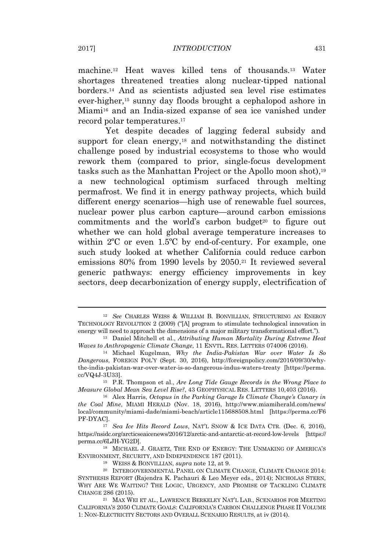machine.<sup>12</sup> Heat waves killed tens of thousands.<sup>13</sup> Water shortages threatened treaties along nuclear-tipped national borders.<sup>14</sup> And as scientists adjusted sea level rise estimates ever-higher,<sup>15</sup> sunny day floods brought a cephalopod ashore in Miami<sup>16</sup> and an India-sized expanse of sea ice vanished under record polar temperatures.<sup>17</sup>

Yet despite decades of lagging federal subsidy and support for clean energy,<sup>18</sup> and notwithstanding the distinct challenge posed by industrial ecosystems to those who would rework them (compared to prior, single-focus development tasks such as the Manhattan Project or the Apollo moon shot),<sup>19</sup> a new technological optimism surfaced through melting permafrost. We find it in energy pathway projects, which build different energy scenarios—high use of renewable fuel sources, nuclear power plus carbon capture—around carbon emissions commitments and the world's carbon budget $20$  to figure out whether we can hold global average temperature increases to within 2ºC or even 1.5ºC by end-of-century. For example, one such study looked at whether California could reduce carbon emissions 80% from 1990 levels by 2050.<sup>21</sup> It reviewed several generic pathways: energy efficiency improvements in key sectors, deep decarbonization of energy supply, electrification of

<sup>18</sup> MICHAEL J. GRAETZ, THE END OF ENERGY: THE UNMAKING OF AMERICA'<sup>S</sup> ENVIRONMENT, SECURITY, AND INDEPENDENCE 187 (2011).

<sup>12</sup> *See* CHARLES WEISS & WILLIAM B. BONVILLIAN, STRUCTURING AN ENERGY TECHNOLOGY REVOLUTION 2 (2009) ("[A] program to stimulate technological innovation in energy will need to approach the dimensions of a major military transformational effort.").

<sup>13</sup> Daniel Mitchell et al., *Attributing Human Mortality During Extreme Heat Waves to Anthropogenic Climate Change*, 11 ENVTL. RES. LETTERS 074006 (2016).

<sup>14</sup> Michael Kugelman, *Why the India-Pakistan War over Water Is So Dangerous*, FOREIGN POL'<sup>Y</sup> (Sept. 30, 2016), http://foreignpolicy.com/2016/09/30/whythe-india-pakistan-war-over-water-is-so-dangerous-indus-waters-treaty [https://perma. cc/VQ4J-3U33].

<sup>15</sup> P.R. Thompson et al., *Are Long Tide Gauge Records in the Wrong Place to Measure Global Mean Sea Level Rise?*, 43 GEOPHYSICAL RES. LETTERS 10,403 (2016).

<sup>16</sup> Alex Harris, *Octopus in the Parking Garage Is Climate Change's Canary in the Coal Mine*, MIAMI HERALD (Nov. 18, 2016), http://www.miamiherald.com/news/ local/community/miami-dade/miami-beach/article115688508.html [https://perma.cc/F6 PF-DYAC].

<sup>17</sup> *Sea Ice Hits Record Lows*, NAT'<sup>L</sup> SNOW & ICE DATA CTR. (Dec. 6, 2016), https://nsidc.org/arcticseaicenews/2016/12/arctic-and-antarctic-at-record-low-levels [https:// perma.cc/6LJH-YG2D].

<sup>19</sup> WEISS & BONVILLIAN, *supra* note 12, at 9.

<sup>20</sup> INTERGOVERNMENTAL PANEL ON CLIMATE CHANGE, CLIMATE CHANGE 2014: SYNTHESIS REPORT (Rajendra K. Pachauri & Leo Meyer eds., 2014); NICHOLAS STERN, WHY ARE WE WAITING? THE LOGIC, URGENCY, AND PROMISE OF TACKLING CLIMATE CHANGE 286 (2015).

<sup>21</sup> MAX WEI ET AL., LAWRENCE BERKELEY NAT'<sup>L</sup> LAB., SCENARIOS FOR MEETING CALIFORNIA'<sup>S</sup> 2050 CLIMATE GOALS: CALIFORNIA'<sup>S</sup> CARBON CHALLENGE PHASE II VOLUME 1: NON-ELECTRICITY SECTORS AND OVERALL SCENARIO RESULTS, at iv (2014).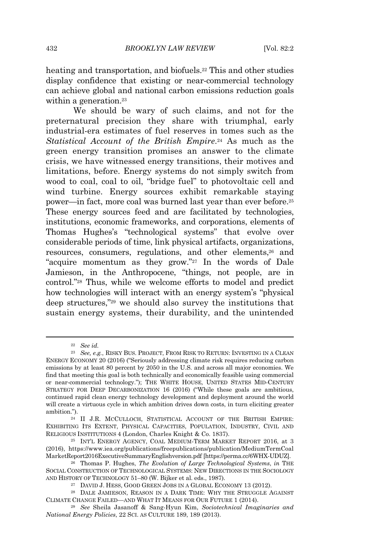heating and transportation, and biofuels.<sup>22</sup> This and other studies display confidence that existing or near-commercial technology can achieve global and national carbon emissions reduction goals within a generation.<sup>23</sup>

We should be wary of such claims, and not for the preternatural precision they share with triumphal, early industrial-era estimates of fuel reserves in tomes such as the *Statistical Account of the British Empire*. <sup>24</sup> As much as the green energy transition promises an answer to the climate crisis, we have witnessed energy transitions, their motives and limitations, before. Energy systems do not simply switch from wood to coal, coal to oil, "bridge fuel" to photovoltaic cell and wind turbine. Energy sources exhibit remarkable staying power—in fact, more coal was burned last year than ever before.<sup>25</sup> These energy sources feed and are facilitated by technologies, institutions, economic frameworks, and corporations, elements of Thomas Hughes's "technological systems" that evolve over considerable periods of time, link physical artifacts, organizations, resources, consumers, regulations, and other elements,<sup>26</sup> and "acquire momentum as they grow."<sup>27</sup> In the words of Dale Jamieson, in the Anthropocene, "things, not people, are in control." <sup>28</sup> Thus, while we welcome efforts to model and predict how technologies will interact with an energy system's "physical deep structures," <sup>29</sup> we should also survey the institutions that sustain energy systems, their durability, and the unintended

<sup>22</sup> *See id.*

<sup>23</sup> *See, e.g.*, RISKY BUS. PROJECT, FROM RISK TO RETURN: INVESTING IN A CLEAN ENERGY ECONOMY 20 (2016) ("Seriously addressing climate risk requires reducing carbon emissions by at least 80 percent by 2050 in the U.S. and across all major economies. We find that meeting this goal is both technically and economically feasible using commercial or near-commercial technology."); THE WHITE HOUSE, UNITED STATES MID-CENTURY STRATEGY FOR DEEP DECARBONIZATION 16 (2016) ("While these goals are ambitious, continued rapid clean energy technology development and deployment around the world will create a virtuous cycle in which ambition drives down costs, in turn eliciting greater ambition.").

<sup>24</sup> II J.R. MCCULLOCH, STATISTICAL ACCOUNT OF THE BRITISH EMPIRE: EXHIBITING ITS EXTENT, PHYSICAL CAPACITIES, POPULATION, INDUSTRY, CIVIL AND RELIGIOUS INSTITUTIONS 4 (London, Charles Knight & Co. 1837).

<sup>25</sup> INT'<sup>L</sup> ENERGY AGENCY, COAL MEDIUM-TERM MARKET REPORT 2016, at 3 (2016), https://www.iea.org/publications/freepublications/publication/MediumTermCoal MarketReport2016ExecutiveSummaryEnglishversion.pdf [https://perma.cc/6WHX-UDUZ].

<sup>26</sup> Thomas P. Hughes, *The Evolution of Large Technological Systems*, *in* THE SOCIAL CONSTRUCTION OF TECHNOLOGICAL SYSTEMS: NEW DIRECTIONS IN THE SOCIOLOGY AND HISTORY OF TECHNOLOGY 51–80 (W. Bijker et al. eds., 1987).

<sup>27</sup> DAVID J. HESS, GOOD GREEN JOBS IN A GLOBAL ECONOMY 13 (2012).

<sup>28</sup> DALE JAMIESON, REASON IN A DARK TIME: WHY THE STRUGGLE AGAINST CLIMATE CHANGE FAILED—AND WHAT I<sup>T</sup> MEANS FOR OUR FUTURE 1 (2014).

<sup>29</sup> *See* Sheila Jasanoff & Sang-Hyun Kim, *Sociotechnical Imaginaries and National Energy Policies*, 22 SCI. AS CULTURE 189, 189 (2013).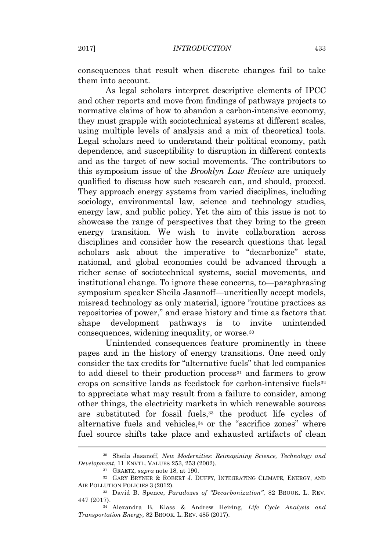consequences that result when discrete changes fail to take them into account.

As legal scholars interpret descriptive elements of IPCC and other reports and move from findings of pathways projects to normative claims of how to abandon a carbon-intensive economy, they must grapple with sociotechnical systems at different scales, using multiple levels of analysis and a mix of theoretical tools. Legal scholars need to understand their political economy, path dependence, and susceptibility to disruption in different contexts and as the target of new social movements. The contributors to this symposium issue of the *Brooklyn Law Review* are uniquely qualified to discuss how such research can, and should, proceed. They approach energy systems from varied disciplines, including sociology, environmental law, science and technology studies, energy law, and public policy. Yet the aim of this issue is not to showcase the range of perspectives that they bring to the green energy transition. We wish to invite collaboration across disciplines and consider how the research questions that legal scholars ask about the imperative to "decarbonize" state, national, and global economies could be advanced through a richer sense of sociotechnical systems, social movements, and institutional change. To ignore these concerns, to—paraphrasing symposium speaker Sheila Jasanoff—uncritically accept models, misread technology as only material, ignore "routine practices as repositories of power," and erase history and time as factors that shape development pathways is to invite unintended consequences, widening inequality, or worse.<sup>30</sup>

Unintended consequences feature prominently in these pages and in the history of energy transitions. One need only consider the tax credits for "alternative fuels" that led companies to add diesel to their production process<sup>31</sup> and farmers to grow crops on sensitive lands as feedstock for carbon-intensive fuels<sup>32</sup> to appreciate what may result from a failure to consider, among other things, the electricity markets in which renewable sources are substituted for fossil fuels,<sup>33</sup> the product life cycles of alternative fuels and vehicles,<sup>34</sup> or the "sacrifice zones" where fuel source shifts take place and exhausted artifacts of clean

<sup>30</sup> Sheila Jasanoff, *New Modernities: Reimagining Science, Technology and Development*, 11 ENVTL. VALUES 253, 253 (2002).

<sup>31</sup> GRAETZ, *supra* note 18, at 190.

<sup>32</sup> GARY BRYNER & ROBERT J. DUFFY, INTEGRATING CLIMATE, ENERGY, AND AIR POLLUTION POLICIES 3 (2012).

<sup>33</sup> David B. Spence, *Paradoxes of "Decarbonization"*, 82 BROOK. L. REV. 447 (2017).

<sup>34</sup> Alexandra B. Klass & Andrew Heiring, *Life Cycle Analysis and Transportation Energy,* 82 BROOK. L. REV. 485 (2017).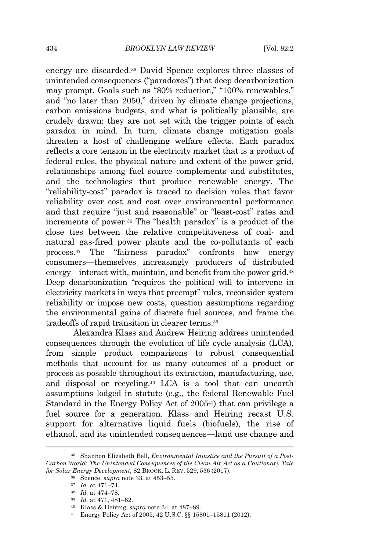energy are discarded.<sup>35</sup> David Spence explores three classes of unintended consequences ("paradoxes") that deep decarbonization may prompt. Goals such as "80% reduction," "100% renewables," and "no later than 2050," driven by climate change projections, carbon emissions budgets, and what is politically plausible, are crudely drawn: they are not set with the trigger points of each paradox in mind. In turn, climate change mitigation goals threaten a host of challenging welfare effects. Each paradox reflects a core tension in the electricity market that is a product of federal rules, the physical nature and extent of the power grid, relationships among fuel source complements and substitutes, and the technologies that produce renewable energy. The "reliability-cost" paradox is traced to decision rules that favor reliability over cost and cost over environmental performance and that require "just and reasonable" or "least-cost" rates and increments of power.<sup>36</sup> The "health paradox" is a product of the close ties between the relative competitiveness of coal- and natural gas-fired power plants and the co-pollutants of each process.<sup>37</sup> The "fairness paradox" confronts how energy consumers—themselves increasingly producers of distributed energy—interact with, maintain, and benefit from the power grid.<sup>38</sup> Deep decarbonization "requires the political will to intervene in electricity markets in ways that preempt" rules, reconsider system reliability or impose new costs, question assumptions regarding the environmental gains of discrete fuel sources, and frame the tradeoffs of rapid transition in clearer terms.<sup>39</sup>

Alexandra Klass and Andrew Heiring address unintended consequences through the evolution of life cycle analysis (LCA), from simple product comparisons to robust consequential methods that account for as many outcomes of a product or process as possible throughout its extraction, manufacturing, use, and disposal or recycling.<sup>40</sup> LCA is a tool that can unearth assumptions lodged in statute (e.g., the federal Renewable Fuel Standard in the Energy Policy Act of 2005<sup>41</sup>) that can privilege a fuel source for a generation. Klass and Heiring recast U.S. support for alternative liquid fuels (biofuels), the rise of ethanol, and its unintended consequences—land use change and

<sup>35</sup> Shannon Elizabeth Bell, *Environmental Injustice and the Pursuit of a Post-Carbon World: The Unintended Consequences of the Clean Air Act as a Cautionary Tale for Solar Energy Development*, 82 BROOK. L. REV. 529, 536 (2017).

<sup>36</sup> Spence, *supra* note 33, at 453–55.

<sup>37</sup> *Id.* at 471–74.

<sup>38</sup> *Id.* at 474–78.

<sup>39</sup> *Id.* at 471, 481–82.

<sup>40</sup> Klass & Heiring, *supra* note 34, at 487–89.

<sup>41</sup> Energy Policy Act of 2005, 42 U.S.C. §§ 15801–15811 (2012).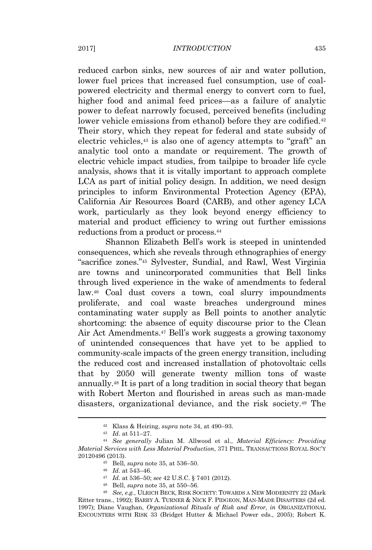reduced carbon sinks, new sources of air and water pollution, lower fuel prices that increased fuel consumption, use of coalpowered electricity and thermal energy to convert corn to fuel, higher food and animal feed prices—as a failure of analytic power to defeat narrowly focused, perceived benefits (including lower vehicle emissions from ethanol) before they are codified.<sup>42</sup> Their story, which they repeat for federal and state subsidy of electric vehicles,<sup>43</sup> is also one of agency attempts to "graft" an analytic tool onto a mandate or requirement. The growth of electric vehicle impact studies, from tailpipe to broader life cycle analysis, shows that it is vitally important to approach complete LCA as part of initial policy design. In addition, we need design principles to inform Environmental Protection Agency (EPA), California Air Resources Board (CARB), and other agency LCA work, particularly as they look beyond energy efficiency to material and product efficiency to wring out further emissions reductions from a product or process.<sup>44</sup>

Shannon Elizabeth Bell's work is steeped in unintended consequences, which she reveals through ethnographies of energy "sacrifice zones." <sup>45</sup> Sylvester, Sundial, and Rawl, West Virginia are towns and unincorporated communities that Bell links through lived experience in the wake of amendments to federal law.<sup>46</sup> Coal dust covers a town, coal slurry impoundments proliferate, and coal waste breaches underground mines contaminating water supply as Bell points to another analytic shortcoming: the absence of equity discourse prior to the Clean Air Act Amendments.<sup>47</sup> Bell's work suggests a growing taxonomy of unintended consequences that have yet to be applied to community-scale impacts of the green energy transition, including the reduced cost and increased installation of photovoltaic cells that by 2050 will generate twenty million tons of waste annually.<sup>48</sup> It is part of a long tradition in social theory that began with Robert Merton and flourished in areas such as man-made disasters, organizational deviance, and the risk society.<sup>49</sup> The

<sup>42</sup> Klass & Heiring, *supra* note 34, at 490–93.

<sup>43</sup> *Id.* at 511–27.

<sup>44</sup> *See generally* Julian M. Allwood et al., *Material Efficiency: Providing Material Services with Less Material Production*, 371 PHIL. TRANSACTIONS ROYAL SOC'<sup>Y</sup> 20120496 (2013).

<sup>45</sup> Bell, *supra* note 35, at 536–50.

<sup>46</sup> *Id.* at 543–46.

<sup>47</sup> *Id.* at 536–50; *see* 42 U.S.C. § 7401 (2012).

<sup>48</sup> Bell, *supra* note 35, at 550–56.

<sup>49</sup> *See, e.g.*, ULRICH BECK, RISK SOCIETY: TOWARDS <sup>A</sup> NEW MODERNITY 22 (Mark Ritter trans., 1992); BARRY A. TURNER & NICK F. PIDGEON, MAN-MADE DISASTERS (2d ed. 1997); Diane Vaughan, *Organizational Rituals of Risk and Error*, *in* ORGANIZATIONAL ENCOUNTERS WITH RISK 33 (Bridget Hutter & Michael Power eds., 2005); Robert K.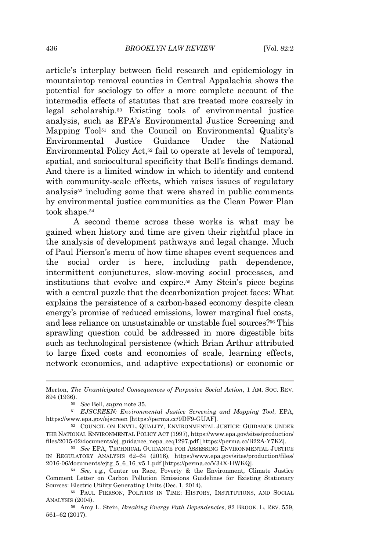article's interplay between field research and epidemiology in mountaintop removal counties in Central Appalachia shows the potential for sociology to offer a more complete account of the intermedia effects of statutes that are treated more coarsely in legal scholarship.<sup>50</sup> Existing tools of environmental justice analysis, such as EPA's Environmental Justice Screening and Mapping Tool<sup>51</sup> and the Council on Environmental Quality's Environmental Justice Guidance Under the National Environmental Policy Act,<sup>52</sup> fail to operate at levels of temporal, spatial, and sociocultural specificity that Bell's findings demand. And there is a limited window in which to identify and contend with community-scale effects, which raises issues of regulatory analysis<sup>53</sup> including some that were shared in public comments by environmental justice communities as the Clean Power Plan took shape.<sup>54</sup>

A second theme across these works is what may be gained when history and time are given their rightful place in the analysis of development pathways and legal change. Much of Paul Pierson's menu of how time shapes event sequences and the social order is here, including path dependence, intermittent conjunctures, slow-moving social processes, and institutions that evolve and expire.<sup>55</sup> Amy Stein's piece begins with a central puzzle that the decarbonization project faces: What explains the persistence of a carbon-based economy despite clean energy's promise of reduced emissions, lower marginal fuel costs, and less reliance on unsustainable or unstable fuel sources?<sup>56</sup> This sprawling question could be addressed in more digestible bits such as technological persistence (which Brian Arthur attributed to large fixed costs and economies of scale, learning effects, network economies, and adaptive expectations) or economic or

Merton, *The Unanticipated Consequences of Purposive Social Action*, 1 AM. SOC. REV. 894 (1936).

<sup>50</sup> *See* Bell, *supra* note 35.

<sup>51</sup> *EJSCREEN: Environmental Justice Screening and Mapping Tool*, EPA, https://www.epa.gov/ejscreen [https://perma.cc/9DF9-GUAF].

<sup>52</sup> COUNCIL ON ENVTL. QUALITY, ENVIRONMENTAL JUSTICE: GUIDANCE UNDER THE NATIONAL ENVIRONMENTAL POLICY ACT (1997), https://www.epa.gov/sites/production/ files/2015-02/documents/ej\_guidance\_nepa\_ceq1297.pdf [https://perma.cc/B22A-Y7KZ].

<sup>53</sup> *See* EPA, TECHNICAL GUIDANCE FOR ASSESSING ENVIRONMENTAL JUSTICE IN REGULATORY ANALYSIS 62–64 (2016), https://www.epa.gov/sites/production/files/ 2016-06/documents/ejtg\_5\_6\_16\_v5.1.pdf [https://perma.cc/V34X-HWKQ].

<sup>54</sup> *See, e.g.*, Center on Race, Poverty & the Environment, Climate Justice Comment Letter on Carbon Pollution Emissions Guidelines for Existing Stationary Sources: Electric Utility Generating Units (Dec. 1, 2014).

<sup>55</sup> PAUL PIERSON, POLITICS IN TIME: HISTORY, INSTITUTIONS, AND SOCIAL ANALYSIS (2004).

<sup>56</sup> Amy L. Stein, *Breaking Energy Path Dependencies*, 82 BROOK. L. REV. 559, 561–62 (2017).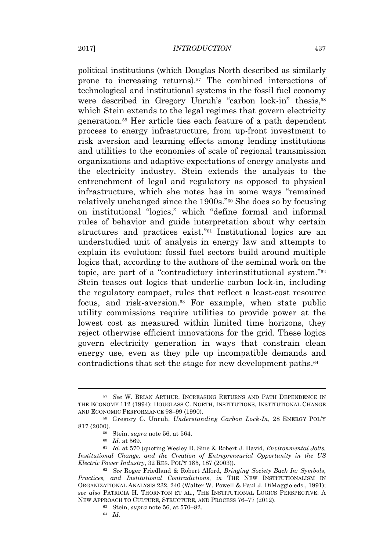political institutions (which Douglas North described as similarly prone to increasing returns).<sup>57</sup> The combined interactions of technological and institutional systems in the fossil fuel economy were described in Gregory Unruh's "carbon lock-in" thesis,<sup>58</sup> which Stein extends to the legal regimes that govern electricity generation.<sup>59</sup> Her article ties each feature of a path dependent process to energy infrastructure, from up-front investment to risk aversion and learning effects among lending institutions and utilities to the economies of scale of regional transmission organizations and adaptive expectations of energy analysts and the electricity industry. Stein extends the analysis to the entrenchment of legal and regulatory as opposed to physical infrastructure, which she notes has in some ways "remained relatively unchanged since the 1900s."<sup>60</sup> She does so by focusing on institutional "logics," which "define formal and informal rules of behavior and guide interpretation about why certain structures and practices exist." <sup>61</sup> Institutional logics are an understudied unit of analysis in energy law and attempts to explain its evolution: fossil fuel sectors build around multiple logics that, according to the authors of the seminal work on the topic, are part of a "contradictory interinstitutional system."<sup>62</sup> Stein teases out logics that underlie carbon lock-in, including the regulatory compact, rules that reflect a least-cost resource focus, and risk-aversion.<sup>63</sup> For example, when state public utility commissions require utilities to provide power at the lowest cost as measured within limited time horizons, they reject otherwise efficient innovations for the grid. These logics govern electricity generation in ways that constrain clean energy use, even as they pile up incompatible demands and contradictions that set the stage for new development paths.<sup>64</sup>

<sup>57</sup> *See* W. BRIAN ARTHUR, INCREASING RETURNS AND PATH DEPENDENCE IN THE ECONOMY 112 (1994); DOUGLASS C. NORTH, INSTITUTIONS, INSTITUTIONAL CHANGE AND ECONOMIC PERFORMANCE 98–99 (1990).

<sup>58</sup> Gregory C. Unruh, *Understanding Carbon Lock-In*, 28 ENERGY POL'<sup>Y</sup> 817 (2000).

<sup>59</sup> Stein, *supra* note 56, at 564.

<sup>60</sup> *Id.* at 569.

<sup>61</sup> *Id.* at 570 (quoting Wesley D. Sine & Robert J. David, *Environmental Jolts, Institutional Change, and the Creation of Entrepreneurial Opportunity in the US Electric Power Industry*, 32 RES. POL'<sup>Y</sup> 185, 187 (2003)).

<sup>62</sup> *See* Roger Friedland & Robert Alford, *Bringing Society Back In: Symbols, Practices, and Institutional Contradictions*, *in* THE NEW INSTITUTIONALISM IN ORGANIZATIONAL ANALYSIS 232, 240 (Walter W. Powell & Paul J. DiMaggio eds., 1991); *see also* PATRICIA H. THORNTON ET AL., THE INSTITUTIONAL LOGICS PERSPECTIVE: A NEW APPROACH TO CULTURE, STRUCTURE, AND PROCESS 76–77 (2012).

<sup>63</sup> Stein, *supra* note 56, at 570–82.

<sup>64</sup> *Id.*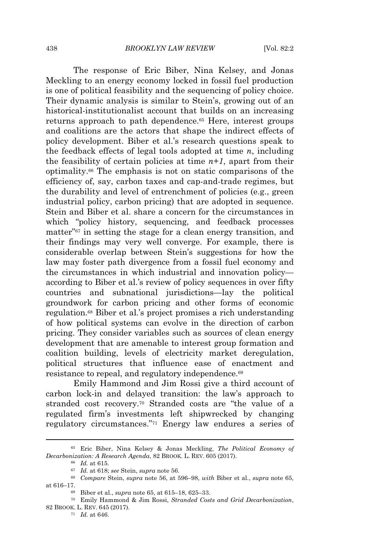The response of Eric Biber, Nina Kelsey, and Jonas Meckling to an energy economy locked in fossil fuel production is one of political feasibility and the sequencing of policy choice. Their dynamic analysis is similar to Stein's, growing out of an historical-institutionalist account that builds on an increasing returns approach to path dependence.<sup>65</sup> Here, interest groups and coalitions are the actors that shape the indirect effects of policy development. Biber et al.'s research questions speak to the feedback effects of legal tools adopted at time *n*, including the feasibility of certain policies at time  $n+1$ , apart from their optimality.<sup>66</sup> The emphasis is not on static comparisons of the efficiency of, say, carbon taxes and cap-and-trade regimes, but the durability and level of entrenchment of policies (e.g., green industrial policy, carbon pricing) that are adopted in sequence. Stein and Biber et al. share a concern for the circumstances in which "policy history, sequencing, and feedback processes matter" <sup>67</sup> in setting the stage for a clean energy transition, and their findings may very well converge. For example, there is considerable overlap between Stein's suggestions for how the law may foster path divergence from a fossil fuel economy and the circumstances in which industrial and innovation policy according to Biber et al.'s review of policy sequences in over fifty countries and subnational jurisdictions—lay the political groundwork for carbon pricing and other forms of economic regulation.<sup>68</sup> Biber et al.'s project promises a rich understanding of how political systems can evolve in the direction of carbon pricing. They consider variables such as sources of clean energy development that are amenable to interest group formation and coalition building, levels of electricity market deregulation, political structures that influence ease of enactment and resistance to repeal, and regulatory independence.<sup>69</sup>

Emily Hammond and Jim Rossi give a third account of carbon lock-in and delayed transition: the law's approach to stranded cost recovery.<sup>70</sup> Stranded costs are "the value of a regulated firm's investments left shipwrecked by changing regulatory circumstances." <sup>71</sup> Energy law endures a series of

<sup>66</sup> *Id.* at 615.

<sup>65</sup> Eric Biber, Nina Kelsey & Jonas Meckling, *The Political Economy of Decarbonization: A Research Agenda*, 82 BROOK. L. REV. 605 (2017).

<sup>67</sup> *Id.* at 618; *see* Stein, *supra* note 56.

<sup>68</sup> *Compare* Stein, *supra* note 56, at 596–98, *with* Biber et al., *supra* note 65, at 616–17.

<sup>69</sup> Biber et al., *supra* note 65, at 615–18, 625–33.

<sup>70</sup> Emily Hammond & Jim Rossi, *Stranded Costs and Grid Decarbonization*, 82 BROOK. L. REV. 645 (2017).

<sup>71</sup> *Id.* at 646.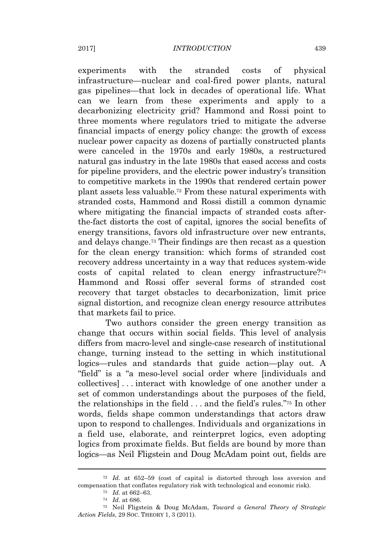experiments with the stranded costs of physical infrastructure—nuclear and coal-fired power plants, natural gas pipelines—that lock in decades of operational life. What can we learn from these experiments and apply to a decarbonizing electricity grid? Hammond and Rossi point to three moments where regulators tried to mitigate the adverse financial impacts of energy policy change: the growth of excess nuclear power capacity as dozens of partially constructed plants were canceled in the 1970s and early 1980s, a restructured natural gas industry in the late 1980s that eased access and costs for pipeline providers, and the electric power industry's transition to competitive markets in the 1990s that rendered certain power plant assets less valuable.<sup>72</sup> From these natural experiments with stranded costs, Hammond and Rossi distill a common dynamic where mitigating the financial impacts of stranded costs afterthe-fact distorts the cost of capital, ignores the social benefits of energy transitions, favors old infrastructure over new entrants, and delays change.<sup>73</sup> Their findings are then recast as a question for the clean energy transition: which forms of stranded cost recovery address uncertainty in a way that reduces system-wide costs of capital related to clean energy infrastructure?<sup>74</sup> Hammond and Rossi offer several forms of stranded cost recovery that target obstacles to decarbonization, limit price signal distortion, and recognize clean energy resource attributes that markets fail to price.

Two authors consider the green energy transition as change that occurs within social fields. This level of analysis differs from macro-level and single-case research of institutional change, turning instead to the setting in which institutional logics—rules and standards that guide action—play out. A "field" is a "a meso-level social order where [individuals and collectives] . . . interact with knowledge of one another under a set of common understandings about the purposes of the field, the relationships in the field . . . and the field's rules." <sup>75</sup> In other words, fields shape common understandings that actors draw upon to respond to challenges. Individuals and organizations in a field use, elaborate, and reinterpret logics, even adopting logics from proximate fields. But fields are bound by more than logics—as Neil Fligstein and Doug McAdam point out, fields are

<sup>72</sup> *Id.* at 652–59 (cost of capital is distorted through loss aversion and compensation that conflates regulatory risk with technological and economic risk).

<sup>73</sup> *Id.* at 662–63.

<sup>74</sup> *Id.* at 686.

<sup>75</sup> Neil Fligstein & Doug McAdam, *Toward a General Theory of Strategic Action Fields*, 29 SOC. THEORY 1, 3 (2011).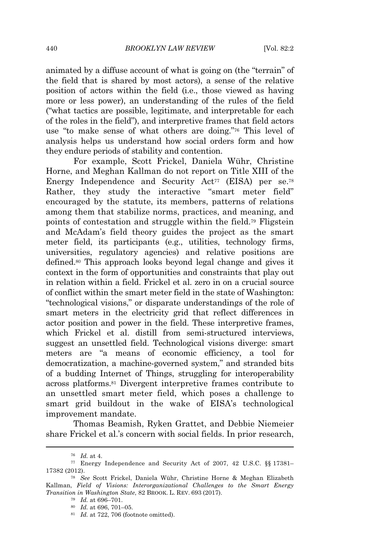animated by a diffuse account of what is going on (the "terrain" of the field that is shared by most actors), a sense of the relative position of actors within the field (i.e., those viewed as having more or less power), an understanding of the rules of the field ("what tactics are possible, legitimate, and interpretable for each of the roles in the field"), and interpretive frames that field actors use "to make sense of what others are doing." <sup>76</sup> This level of analysis helps us understand how social orders form and how they endure periods of stability and contention.

For example, Scott Frickel, Daniela Wühr, Christine Horne, and Meghan Kallman do not report on Title XIII of the Energy Independence and Security Act<sup>77</sup> (EISA) per se.<sup>78</sup> Rather, they study the interactive "smart meter field" encouraged by the statute, its members, patterns of relations among them that stabilize norms, practices, and meaning, and points of contestation and struggle within the field.<sup>79</sup> Fligstein and McAdam's field theory guides the project as the smart meter field, its participants (e.g., utilities, technology firms, universities, regulatory agencies) and relative positions are defined.<sup>80</sup> This approach looks beyond legal change and gives it context in the form of opportunities and constraints that play out in relation within a field. Frickel et al. zero in on a crucial source of conflict within the smart meter field in the state of Washington: "technological visions," or disparate understandings of the role of smart meters in the electricity grid that reflect differences in actor position and power in the field. These interpretive frames, which Frickel et al. distill from semi-structured interviews, suggest an unsettled field. Technological visions diverge: smart meters are "a means of economic efficiency, a tool for democratization, a machine-governed system," and stranded bits of a budding Internet of Things, struggling for interoperability across platforms.<sup>81</sup> Divergent interpretive frames contribute to an unsettled smart meter field, which poses a challenge to smart grid buildout in the wake of EISA's technological improvement mandate.

Thomas Beamish, Ryken Grattet, and Debbie Niemeier share Frickel et al.'s concern with social fields. In prior research,

<sup>79</sup> *Id.* at 696–701.

<sup>76</sup> *Id.* at 4.

<sup>77</sup> Energy Independence and Security Act of 2007, 42 U.S.C. §§ 17381– 17382 (2012).

<sup>78</sup> *See* Scott Frickel, Daniela Wühr, Christine Horne & Meghan Elizabeth Kallman, *Field of Visions: Interorganizational Challenges to the Smart Energy Transition in Washington State*, 82 BROOK. L. REV. 693 (2017).

<sup>80</sup> *Id.* at 696, 701–05.

<sup>81</sup> *Id.* at 722, 706 (footnote omitted).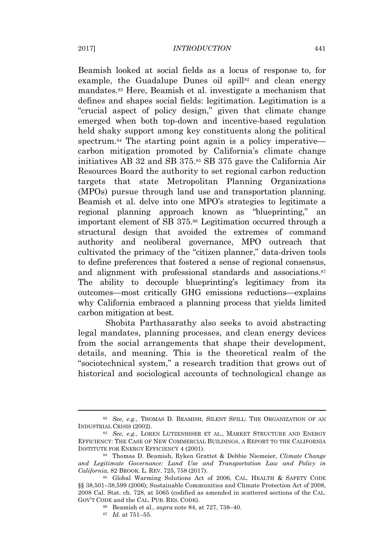Beamish looked at social fields as a locus of response to, for example, the Guadalupe Dunes oil spill $82$  and clean energy mandates.<sup>83</sup> Here, Beamish et al. investigate a mechanism that defines and shapes social fields: legitimation. Legitimation is a "crucial aspect of policy design," given that climate change emerged when both top-down and incentive-based regulation held shaky support among key constituents along the political spectrum.<sup>84</sup> The starting point again is a policy imperative carbon mitigation promoted by California's climate change initiatives AB 32 and SB 375.<sup>85</sup> SB 375 gave the California Air Resources Board the authority to set regional carbon reduction targets that state Metropolitan Planning Organizations (MPOs) pursue through land use and transportation planning. Beamish et al. delve into one MPO's strategies to legitimate a regional planning approach known as "blueprinting," an important element of SB 375.<sup>86</sup> Legitimation occurred through a structural design that avoided the extremes of command authority and neoliberal governance, MPO outreach that cultivated the primacy of the "citizen planner," data-driven tools to define preferences that fostered a sense of regional consensus, and alignment with professional standards and associations.<sup>87</sup> The ability to decouple blueprinting's legitimacy from its outcomes—most critically GHG emissions reductions—explains why California embraced a planning process that yields limited carbon mitigation at best.

Shobita Parthasarathy also seeks to avoid abstracting legal mandates, planning processes, and clean energy devices from the social arrangements that shape their development, details, and meaning. This is the theoretical realm of the "sociotechnical system," a research tradition that grows out of historical and sociological accounts of technological change as

<sup>82</sup> *See, e.g.*, THOMAS D. BEAMISH, SILENT SPILL: THE ORGANIZATION OF AN INDUSTRIAL CRISIS (2002).

<sup>83</sup> *See, e.g.*, LOREN LUTZENHISER ET AL., MARKET STRUCTURE AND ENERGY EFFICIENCY: THE CASE OF NEW COMMERCIAL BUILDINGS, A REPORT TO THE CALIFORNIA INSTITUTE FOR ENERGY EFFICIENCY 4 (2001).

<sup>84</sup> Thomas D. Beamish, Ryken Grattet & Debbie Niemeier, *Climate Change and Legitimate Governance: Land Use and Transportation Law and Policy in California*, 82 BROOK. L. REV. 725, 758 (2017).

<sup>85</sup> Global Warming Solutions Act of 2006, CAL. HEALTH & SAFETY CODE §§ 38,501–38,599 (2006); Sustainable Communities and Climate Protection Act of 2008, 2008 Cal. Stat. ch. 728, at 5065 (codified as amended in scattered sections of the CAL. GOV'<sup>T</sup> CODE and the CAL. PUB. RES. CODE).

<sup>86</sup> Beamish et al., *supra* note 84, at 727, 738–40.

<sup>87</sup> *Id.* at 751–55.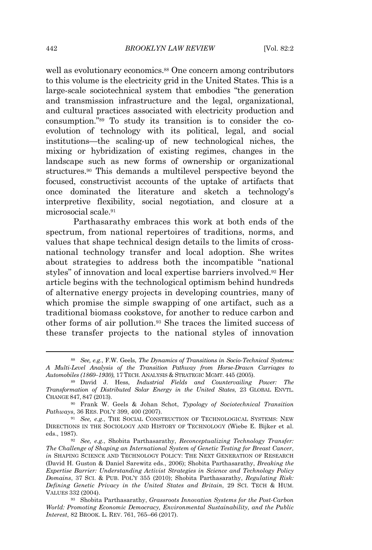well as evolutionary economics.<sup>88</sup> One concern among contributors to this volume is the electricity grid in the United States. This is a large-scale sociotechnical system that embodies "the generation and transmission infrastructure and the legal, organizational, and cultural practices associated with electricity production and consumption." <sup>89</sup> To study its transition is to consider the coevolution of technology with its political, legal, and social institutions—the scaling-up of new technological niches, the mixing or hybridization of existing regimes, changes in the landscape such as new forms of ownership or organizational structures.<sup>90</sup> This demands a multilevel perspective beyond the focused, constructivist accounts of the uptake of artifacts that once dominated the literature and sketch a technology's interpretive flexibility, social negotiation, and closure at a microsocial scale.<sup>91</sup>

Parthasarathy embraces this work at both ends of the spectrum, from national repertoires of traditions, norms, and values that shape technical design details to the limits of crossnational technology transfer and local adoption. She writes about strategies to address both the incompatible "national styles" of innovation and local expertise barriers involved.<sup>92</sup> Her article begins with the technological optimism behind hundreds of alternative energy projects in developing countries, many of which promise the simple swapping of one artifact, such as a traditional biomass cookstove, for another to reduce carbon and other forms of air pollution.<sup>93</sup> She traces the limited success of these transfer projects to the national styles of innovation

<sup>88</sup> *See, e.g.*, F.W. Geels, *The Dynamics of Transitions in Socio-Technical Systems: A Multi-Level Analysis of the Transition Pathway from Horse-Drawn Carriages to Automobiles (1860–1930)*, 17 TECH. ANALYSIS & STRATEGIC MGMT. 445 (2005).

<sup>89</sup> David J. Hess, *Industrial Fields and Countervailing Power: The Transformation of Distributed Solar Energy in the United States*, 23 GLOBAL ENVTL. CHANGE 847, 847 (2013).

<sup>90</sup> Frank W. Geels & Johan Schot, *Typology of Sociotechnical Transition Pathways*, 36 RES. POL'<sup>Y</sup> 399, 400 (2007).

<sup>&</sup>lt;sup>91</sup> *See, e.g.*, THE SOCIAL CONSTRUCTION OF TECHNOLOGICAL SYSTEMS: NEW DIRECTIONS IN THE SOCIOLOGY AND HISTORY OF TECHNOLOGY (Wiebe E. Bijker et al. eds., 1987).

<sup>92</sup> *See, e.g.*, Shobita Parthasarathy, *Reconceptualizing Technology Transfer: The Challenge of Shaping an International System of Genetic Testing for Breast Cancer*, *in* SHAPING SCIENCE AND TECHNOLOGY POLICY: THE NEXT GENERATION OF RESEARCH (David H. Guston & Daniel Sarewitz eds., 2006); Shobita Parthasarathy, *Breaking the Expertise Barrier: Understanding Activist Strategies in Science and Technology Policy Domains*, 37 SCI. & PUB. POL'<sup>Y</sup> 355 (2010); Shobita Parthasarathy, *Regulating Risk: Defining Genetic Privacy in the United States and Britain*, 29 SCI. TECH & HUM. VALUES 332 (2004).

<sup>93</sup> Shobita Parthasarathy, *Grassroots Innovation Systems for the Post-Carbon World: Promoting Economic Democracy, Environmental Sustainability, and the Public Interest*, 82 BROOK. L. REV. 761, 765–66 (2017).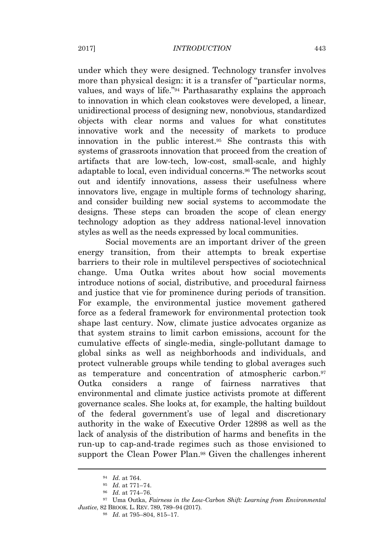under which they were designed. Technology transfer involves more than physical design: it is a transfer of "particular norms, values, and ways of life." <sup>94</sup> Parthasarathy explains the approach to innovation in which clean cookstoves were developed, a linear, unidirectional process of designing new, nonobvious, standardized objects with clear norms and values for what constitutes innovative work and the necessity of markets to produce innovation in the public interest.<sup>95</sup> She contrasts this with systems of grassroots innovation that proceed from the creation of artifacts that are low-tech, low-cost, small-scale, and highly adaptable to local, even individual concerns.<sup>96</sup> The networks scout out and identify innovations, assess their usefulness where innovators live, engage in multiple forms of technology sharing, and consider building new social systems to accommodate the designs. These steps can broaden the scope of clean energy technology adoption as they address national-level innovation styles as well as the needs expressed by local communities.

Social movements are an important driver of the green energy transition, from their attempts to break expertise barriers to their role in multilevel perspectives of sociotechnical change. Uma Outka writes about how social movements introduce notions of social, distributive, and procedural fairness and justice that vie for prominence during periods of transition. For example, the environmental justice movement gathered force as a federal framework for environmental protection took shape last century. Now, climate justice advocates organize as that system strains to limit carbon emissions, account for the cumulative effects of single-media, single-pollutant damage to global sinks as well as neighborhoods and individuals, and protect vulnerable groups while tending to global averages such as temperature and concentration of atmospheric carbon.<sup>97</sup> Outka considers a range of fairness narratives that environmental and climate justice activists promote at different governance scales. She looks at, for example, the halting buildout of the federal government's use of legal and discretionary authority in the wake of Executive Order 12898 as well as the lack of analysis of the distribution of harms and benefits in the run-up to cap-and-trade regimes such as those envisioned to support the Clean Power Plan.<sup>98</sup> Given the challenges inherent

<sup>94</sup> *Id.* at 764.

<sup>95</sup> *Id.* at 771–74.

<sup>96</sup> *Id.* at 774–76.

<sup>97</sup> Uma Outka, *Fairness in the Low-Carbon Shift: Learning from Environmental Justice*, 82 BROOK. L. REV. 789, 789–94 (2017).

<sup>98</sup> *Id.* at 795–804, 815–17.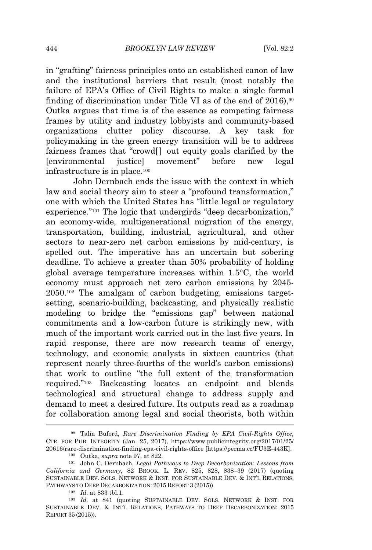in "grafting" fairness principles onto an established canon of law and the institutional barriers that result (most notably the failure of EPA's Office of Civil Rights to make a single formal finding of discrimination under Title VI as of the end of  $2016$ ,<sup>99</sup> Outka argues that time is of the essence as competing fairness frames by utility and industry lobbyists and community-based organizations clutter policy discourse. A key task for policymaking in the green energy transition will be to address fairness frames that "crowd[] out equity goals clarified by the [environmental justice] movement" before new legal infrastructure is in place.<sup>100</sup>

John Dernbach ends the issue with the context in which law and social theory aim to steer a "profound transformation," one with which the United States has "little legal or regulatory experience."<sup>101</sup> The logic that undergirds "deep decarbonization," an economy-wide, multigenerational migration of the energy, transportation, building, industrial, agricultural, and other sectors to near-zero net carbon emissions by mid-century, is spelled out. The imperative has an uncertain but sobering deadline. To achieve a greater than 50% probability of holding global average temperature increases within 1.5°C, the world economy must approach net zero carbon emissions by 2045- 2050.<sup>102</sup> The amalgam of carbon budgeting, emissions targetsetting, scenario-building, backcasting, and physically realistic modeling to bridge the "emissions gap" between national commitments and a low-carbon future is strikingly new, with much of the important work carried out in the last five years. In rapid response, there are now research teams of energy, technology, and economic analysts in sixteen countries (that represent nearly three-fourths of the world's carbon emissions) that work to outline "the full extent of the transformation required." <sup>103</sup> Backcasting locates an endpoint and blends technological and structural change to address supply and demand to meet a desired future. Its outputs read as a roadmap for collaboration among legal and social theorists, both within

<sup>99</sup> Talía Buford, *Rare Discrimination Finding by EPA Civil-Rights Office*, CTR. FOR PUB. INTEGRITY (Jan. 25, 2017), https://www.publicintegrity.org/2017/01/25/ 20616/rare-discrimination-finding-epa-civil-rights-office [https://perma.cc/FU3E-443K].

<sup>100</sup> Outka, *supra* note 97, at 822.

<sup>101</sup> John C. Dernbach, *Legal Pathways to Deep Decarbonization: Lessons from California and Germany*, 82 BROOK. L. REV. 825, 828, 838–39 (2017) (quoting SUSTAINABLE DEV. SOLS. NETWORK & INST. FOR SUSTAINABLE DEV. & INT'<sup>L</sup> RELATIONS, PATHWAYS TO DEEP DECARBONIZATION: 2015 REPORT 3 (2015)).

<sup>102</sup> *Id.* at 833 tbl.1.

<sup>103</sup> *Id.* at 841 (quoting SUSTAINABLE DEV. SOLS. NETWORK & INST. FOR SUSTAINABLE DEV. & INT'<sup>L</sup> RELATIONS, PATHWAYS TO DEEP DECARBONIZATION: 2015 REPORT 35 (2015)).